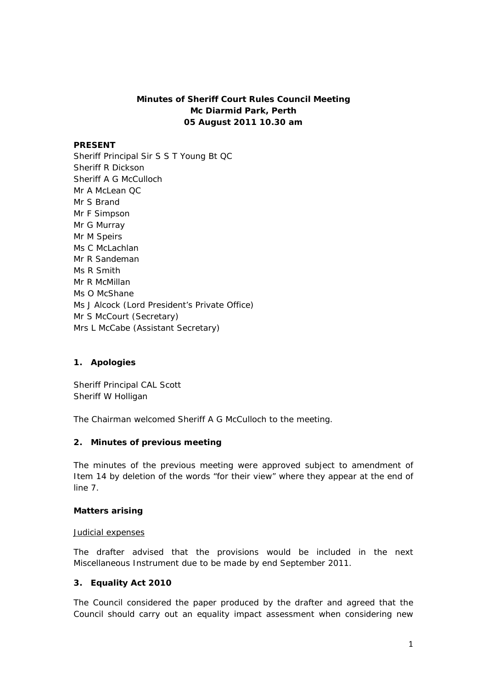# **Minutes of Sheriff Court Rules Council Meeting Mc Diarmid Park, Perth 05 August 2011 10.30 am**

#### **PRESENT**

Sheriff Principal Sir S S T Young Bt QC Sheriff R Dickson Sheriff A G McCulloch Mr A McLean QC Mr S Brand Mr F Simpson Mr G Murray Mr M Speirs Ms C McLachlan Mr R Sandeman Ms R Smith Mr R McMillan Ms O McShane Ms J Alcock (Lord President's Private Office) Mr S McCourt (Secretary) Mrs L McCabe (Assistant Secretary)

# **1. Apologies**

Sheriff Principal CAL Scott Sheriff W Holligan

The Chairman welcomed Sheriff A G McCulloch to the meeting.

# **2. Minutes of previous meeting**

The minutes of the previous meeting were approved subject to amendment of Item 14 by deletion of the words "for their view" where they appear at the end of line 7.

#### **Matters arising**

#### Judicial expenses

The drafter advised that the provisions would be included in the next Miscellaneous Instrument due to be made by end September 2011.

## **3. Equality Act 2010**

The Council considered the paper produced by the drafter and agreed that the Council should carry out an equality impact assessment when considering new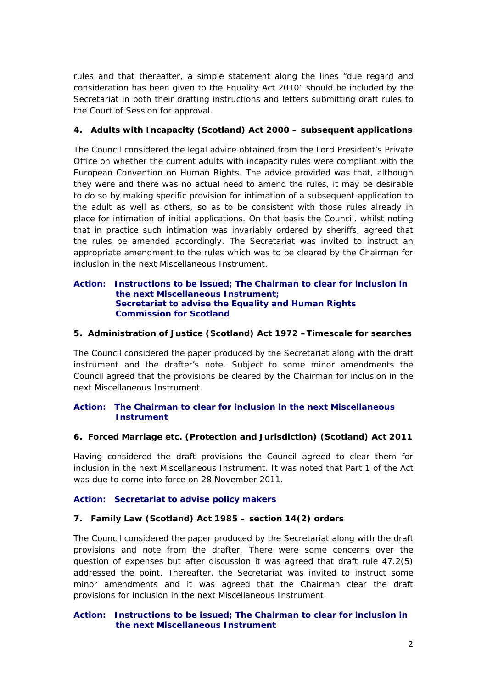rules and that thereafter, a simple statement along the lines "due regard and consideration has been given to the Equality Act 2010" should be included by the Secretariat in both their drafting instructions and letters submitting draft rules to the Court of Session for approval.

# **4. Adults with Incapacity (Scotland) Act 2000 – subsequent applications**

The Council considered the legal advice obtained from the Lord President's Private Office on whether the current adults with incapacity rules were compliant with the European Convention on Human Rights. The advice provided was that, although they were and there was no actual need to amend the rules, it may be desirable to do so by making specific provision for intimation of a subsequent application to the adult as well as others, so as to be consistent with those rules already in place for intimation of initial applications. On that basis the Council, whilst noting that in practice such intimation was invariably ordered by sheriffs, agreed that the rules be amended accordingly. The Secretariat was invited to instruct an appropriate amendment to the rules which was to be cleared by the Chairman for inclusion in the next Miscellaneous Instrument.

# **Action: Instructions to be issued; The Chairman to clear for inclusion in the next Miscellaneous Instrument; Secretariat to advise the Equality and Human Rights Commission for Scotland**

# **5. Administration of Justice (Scotland) Act 1972 –Timescale for searches**

The Council considered the paper produced by the Secretariat along with the draft instrument and the drafter's note. Subject to some minor amendments the Council agreed that the provisions be cleared by the Chairman for inclusion in the next Miscellaneous Instrument.

# **Action: The Chairman to clear for inclusion in the next Miscellaneous Instrument**

# **6. Forced Marriage etc. (Protection and Jurisdiction) (Scotland) Act 2011**

Having considered the draft provisions the Council agreed to clear them for inclusion in the next Miscellaneous Instrument. It was noted that Part 1 of the Act was due to come into force on 28 November 2011.

# **Action: Secretariat to advise policy makers**

## **7. Family Law (Scotland) Act 1985 – section 14(2) orders**

The Council considered the paper produced by the Secretariat along with the draft provisions and note from the drafter. There were some concerns over the question of expenses but after discussion it was agreed that draft rule 47.2(5) addressed the point. Thereafter, the Secretariat was invited to instruct some minor amendments and it was agreed that the Chairman clear the draft provisions for inclusion in the next Miscellaneous Instrument.

# **Action: Instructions to be issued; The Chairman to clear for inclusion in the next Miscellaneous Instrument**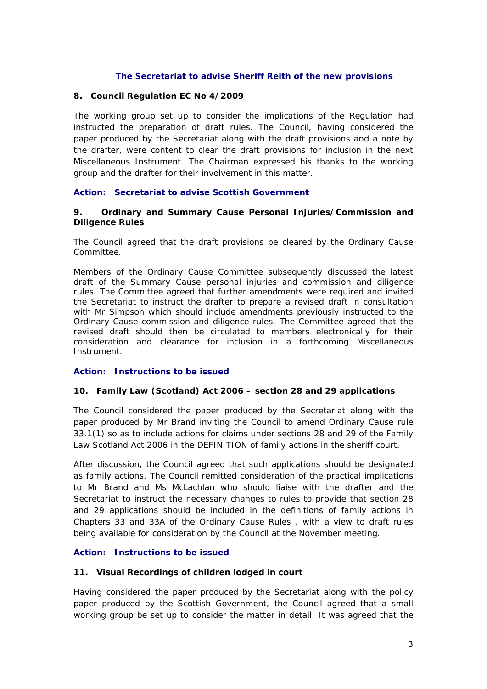# **The Secretariat to advise Sheriff Reith of the new provisions**

## **8. Council Regulation EC No 4/2009**

The working group set up to consider the implications of the Regulation had instructed the preparation of draft rules. The Council, having considered the paper produced by the Secretariat along with the draft provisions and a note by the drafter, were content to clear the draft provisions for inclusion in the next Miscellaneous Instrument. The Chairman expressed his thanks to the working group and the drafter for their involvement in this matter.

## **Action: Secretariat to advise Scottish Government**

#### **9. Ordinary and Summary Cause Personal Injuries/Commission and Diligence Rules**

The Council agreed that the draft provisions be cleared by the Ordinary Cause Committee.

Members of the Ordinary Cause Committee subsequently discussed the latest draft of the Summary Cause personal injuries and commission and diligence rules. The Committee agreed that further amendments were required and invited the Secretariat to instruct the drafter to prepare a revised draft in consultation with Mr Simpson which should include amendments previously instructed to the Ordinary Cause commission and diligence rules. The Committee agreed that the revised draft should then be circulated to members electronically for their consideration and clearance for inclusion in a forthcoming Miscellaneous Instrument.

## **Action: Instructions to be issued**

#### **10. Family Law (Scotland) Act 2006 – section 28 and 29 applications**

The Council considered the paper produced by the Secretariat along with the paper produced by Mr Brand inviting the Council to amend Ordinary Cause rule 33.1(1) so as to include actions for claims under sections 28 and 29 of the Family Law Scotland Act 2006 in the DEFINITION of family actions in the sheriff court.

After discussion, the Council agreed that such applications should be designated as family actions. The Council remitted consideration of the practical implications to Mr Brand and Ms McLachlan who should liaise with the drafter and the Secretariat to instruct the necessary changes to rules to provide that section 28 and 29 applications should be included in the definitions of family actions in Chapters 33 and 33A of the Ordinary Cause Rules , with a view to draft rules being available for consideration by the Council at the November meeting.

# **Action: Instructions to be issued**

## **11. Visual Recordings of children lodged in court**

Having considered the paper produced by the Secretariat along with the policy paper produced by the Scottish Government, the Council agreed that a small working group be set up to consider the matter in detail. It was agreed that the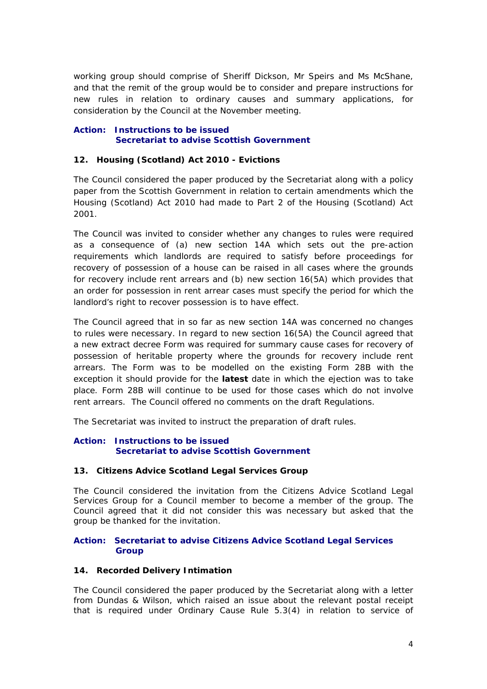working group should comprise of Sheriff Dickson, Mr Speirs and Ms McShane, and that the remit of the group would be to consider and prepare instructions for new rules in relation to ordinary causes and summary applications, for consideration by the Council at the November meeting.

#### **Action: Instructions to be issued Secretariat to advise Scottish Government**

# **12. Housing (Scotland) Act 2010 - Evictions**

The Council considered the paper produced by the Secretariat along with a policy paper from the Scottish Government in relation to certain amendments which the Housing (Scotland) Act 2010 had made to Part 2 of the Housing (Scotland) Act 2001.

The Council was invited to consider whether any changes to rules were required as a consequence of (a) new section 14A which sets out the pre-action requirements which landlords are required to satisfy before proceedings for recovery of possession of a house can be raised in all cases where the grounds for recovery include rent arrears and (b) new section 16(5A) which provides that an order for possession in rent arrear cases must specify the period for which the landlord's right to recover possession is to have effect.

The Council agreed that in so far as new section 14A was concerned no changes to rules were necessary. In regard to new section 16(5A) the Council agreed that a new extract decree Form was required for summary cause cases for recovery of possession of heritable property where the grounds for recovery include rent arrears. The Form was to be modelled on the existing Form 28B with the exception it should provide for the *latest* date in which the ejection was to take place. Form 28B will continue to be used for those cases which do not involve rent arrears. The Council offered no comments on the draft Regulations.

The Secretariat was invited to instruct the preparation of draft rules.

## **Action: Instructions to be issued Secretariat to advise Scottish Government**

## **13. Citizens Advice Scotland Legal Services Group**

The Council considered the invitation from the Citizens Advice Scotland Legal Services Group for a Council member to become a member of the group. The Council agreed that it did not consider this was necessary but asked that the group be thanked for the invitation.

## **Action: Secretariat to advise Citizens Advice Scotland Legal Services Group**

## **14. Recorded Delivery Intimation**

The Council considered the paper produced by the Secretariat along with a letter from Dundas & Wilson, which raised an issue about the relevant postal receipt that is required under Ordinary Cause Rule 5.3(4) in relation to service of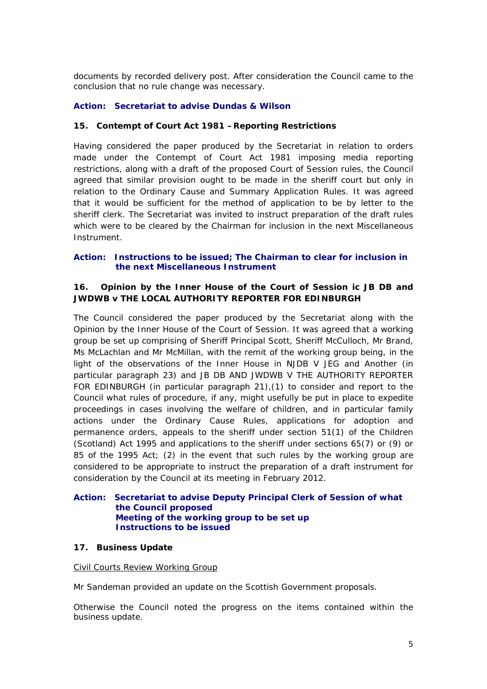documents by recorded delivery post. After consideration the Council came to the conclusion that no rule change was necessary.

# **Action: Secretariat to advise Dundas & Wilson**

#### **15. Contempt of Court Act 1981 –Reporting Restrictions**

Having considered the paper produced by the Secretariat in relation to orders made under the Contempt of Court Act 1981 imposing media reporting restrictions, along with a draft of the proposed Court of Session rules, the Council agreed that similar provision ought to be made in the sheriff court but only in relation to the Ordinary Cause and Summary Application Rules. It was agreed that it would be sufficient for the method of application to be by letter to the sheriff clerk. The Secretariat was invited to instruct preparation of the draft rules which were to be cleared by the Chairman for inclusion in the next Miscellaneous Instrument.

# **Action: Instructions to be issued; The Chairman to clear for inclusion in the next Miscellaneous Instrument**

# **16. Opinion by the Inner House of the Court of Session ic JB DB and JWDWB v THE LOCAL AUTHORITY REPORTER FOR EDINBURGH**

The Council considered the paper produced by the Secretariat along with the Opinion by the Inner House of the Court of Session. It was agreed that a working group be set up comprising of Sheriff Principal Scott, Sheriff McCulloch, Mr Brand, Ms McLachlan and Mr McMillan, with the remit of the working group being, in the light of the observations of the Inner House in NJDB V JEG and Another (in particular paragraph 23) and JB DB AND JWDWB V THE AUTHORITY REPORTER FOR EDINBURGH (in particular paragraph 21),(1) to consider and report to the Council what rules of procedure, if any, might usefully be put in place to expedite proceedings in cases involving the welfare of children, and in particular family actions under the Ordinary Cause Rules, applications for adoption and permanence orders, appeals to the sheriff under section 51(1) of the Children (Scotland) Act 1995 and applications to the sheriff under sections 65(7) or (9) or 85 of the 1995 Act; (2) in the event that such rules by the working group are considered to be appropriate to instruct the preparation of a draft instrument for consideration by the Council at its meeting in February 2012.

## **Action: Secretariat to advise Deputy Principal Clerk of Session of what the Council proposed Meeting of the working group to be set up Instructions to be issued**

## **17. Business Update**

#### Civil Courts Review Working Group

Mr Sandeman provided an update on the Scottish Government proposals.

Otherwise the Council noted the progress on the items contained within the business update.